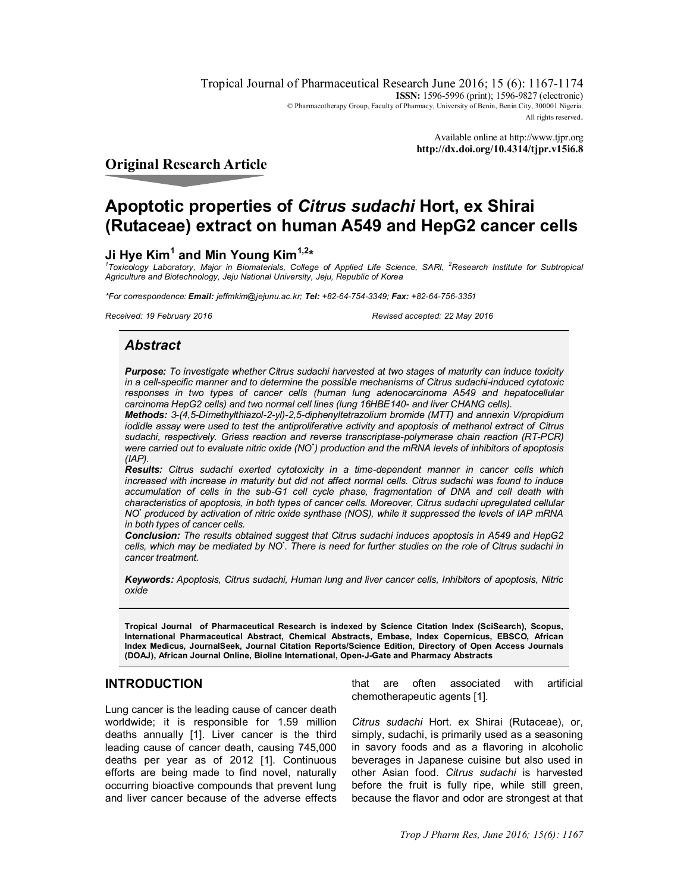Tropical Journal of Pharmaceutical Research June 2016; 15 (6): 1167-1174 **ISSN:** 1596-5996 (print); 1596-9827 (electronic) © Pharmacotherapy Group, Faculty of Pharmacy, University of Benin, Benin City, 300001 Nigeria. All rights reserved.

> Available online at<http://www.tjpr.org> **<http://dx.doi.org/10.4314/tjpr.v15i6.8>**

### **Original Research Article**

# **Apoptotic properties of** *Citrus sudachi* **Hort, ex Shirai (Rutaceae) extract on human A549 and HepG2 cancer cells**

# **Ji Hye Kim<sup>1</sup> and Min Young Kim1,2\***

<sup>1</sup> Toxicology Laboratory, Major in Biomaterials, College of Applied Life Science, SARI, <sup>2</sup>Research Institute for Subtropical *Agriculture and Biotechnology, Jeju National University, Jeju, Republic of Korea*

*\*For correspondence: Email: [jeffmkim@jejunu.ac.kr;](mailto:jeffmkim@jejunu.ac.kr;) Tel: +82-64-754-3349; Fax: +82-64-756-3351*

*Received: 19 February 2016 Revised accepted: 22 May 2016*

# *Abstract*

*Purpose: To investigate whether Citrus sudachi harvested at two stages of maturity can induce toxicity in a cell-specific manner and to determine the possible mechanisms of Citrus sudachi-induced cytotoxic responses in two types of cancer cells (human lung adenocarcinoma A549 and hepatocellular carcinoma HepG2 cells) and two normal cell lines (lung 16HBE140- and liver CHANG cells).*

*Methods: 3-(4,5-Dimethylthiazol-2-yl)-2,5-diphenyltetrazolium bromide (MTT) and annexin V/propidium iodidle assay were used to test the antiproliferative activity and apoptosis of methanol extract of Citrus sudachi, respectively. Griess reaction and reverse transcriptase-polymerase chain reaction (RT-PCR) were carried out to evaluate nitric oxide (NO• ) production and the mRNA levels of inhibitors of apoptosis (IAP).* 

*Results: Citrus sudachi exerted cytotoxicity in a time-dependent manner in cancer cells which increased with increase in maturity but did not affect normal cells. Citrus sudachi was found to induce accumulation of cells in the sub-G1 cell cycle phase, fragmentation of DNA and cell death with characteristics of apoptosis, in both types of cancer cells. Moreover, Citrus sudachi upregulated cellular NO• produced by activation of nitric oxide synthase (NOS), while it suppressed the levels of IAP mRNA in both types of cancer cells.* 

*Conclusion: The results obtained suggest that Citrus sudachi induces apoptosis in A549 and HepG2 cells, which may be mediated by NO• . There is need for further studies on the role of Citrus sudachi in cancer treatment.* 

*Keywords: Apoptosis, Citrus sudachi, Human lung and liver cancer cells, Inhibitors of apoptosis, Nitric oxide*

**Tropical Journal of Pharmaceutical Research is indexed by Science Citation Index (SciSearch), Scopus, International Pharmaceutical Abstract, Chemical Abstracts, Embase, Index Copernicus, EBSCO, African Index Medicus, JournalSeek, Journal Citation Reports/Science Edition, Directory of Open Access Journals (DOAJ), African Journal Online, Bioline International, Open-J-Gate and Pharmacy Abstracts**

## **INTRODUCTION**

Lung cancer is the leading cause of cancer death worldwide; it is responsible for 1.59 million deaths annually [1]. Liver cancer is the third leading cause of cancer death, causing 745,000 deaths per year as of 2012 [1]. Continuous efforts are being made to find novel, naturally occurring bioactive compounds that prevent lung and liver cancer because of the adverse effects that are often associated with artificial chemotherapeutic agents [1].

*Citrus sudachi* Hort. ex Shirai (Rutaceae), or, simply, sudachi, is primarily used as a seasoning in savory foods and as a flavoring in alcoholic beverages in Japanese cuisine but also used in other Asian food. *Citrus sudachi* is harvested before the fruit is fully ripe, while still green, because the flavor and odor are strongest at that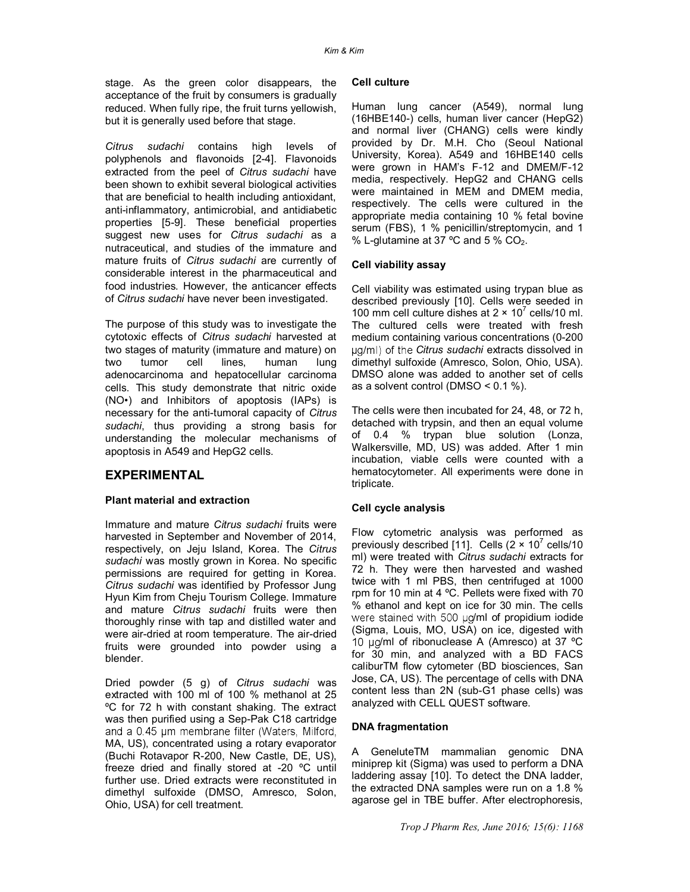stage. As the green color disappears, the acceptance of the fruit by consumers is gradually reduced. When fully ripe, the fruit turns yellowish, but it is generally used before that stage.

*Citrus sudachi* contains high levels of polyphenols and flavonoids [2-4]. Flavonoids extracted from the peel of *Citrus sudachi* have been shown to exhibit several biological activities that are beneficial to health including antioxidant, anti-inflammatory, antimicrobial, and antidiabetic properties [5-9]. These beneficial properties suggest new uses for *Citrus sudachi* as a nutraceutical, and studies of the immature and mature fruits of *Citrus sudachi* are currently of considerable interest in the pharmaceutical and food industries. However, the anticancer effects of *Citrus sudachi* have never been investigated.

The purpose of this study was to investigate the cytotoxic effects of *Citrus sudachi* harvested at two stages of maturity (immature and mature) on two tumor cell lines, human lung adenocarcinoma and hepatocellular carcinoma cells. This study demonstrate that nitric oxide (NO•) and Inhibitors of apoptosis (IAPs) is necessary for the anti-tumoral capacity of *Citrus sudachi*, thus providing a strong basis for understanding the molecular mechanisms of apoptosis in A549 and HepG2 cells.

### **EXPERIMENTAL**

### **Plant material and extraction**

Immature and mature *Citrus sudachi* fruits were harvested in September and November of 2014, respectively, on Jeju Island, Korea. The *Citrus sudachi* was mostly grown in Korea. No specific permissions are required for getting in Korea. *Citrus sudachi* was identified by Professor Jung Hyun Kim from Cheju Tourism College. Immature and mature *Citrus sudachi* fruits were then thoroughly rinse with tap and distilled water and were air-dried at room temperature. The air-dried fruits were grounded into powder using a blender.

Dried powder (5 g) of *Citrus sudachi* was extracted with 100 ml of 100 % methanol at 25 ºC for 72 h with constant shaking. The extract was then purified using a Sep-Pak C18 cartridge and a 0.45 um membrane filter (Waters, Milford, MA, US), concentrated using a rotary evaporator (Buchi Rotavapor R-200, New Castle, DE, US), freeze dried and finally stored at -20 ºC until further use. Dried extracts were reconstituted in dimethyl sulfoxide (DMSO, Amresco, Solon, Ohio, USA) for cell treatment.

#### **Cell culture**

Human lung cancer (A549), normal lung (16HBE140-) cells, human liver cancer (HepG2) and normal liver (CHANG) cells were kindly provided by Dr. M.H. Cho (Seoul National University, Korea). A549 and 16HBE140 cells were grown in HAM's F-12 and DMEM/F-12 media, respectively. HepG2 and CHANG cells were maintained in MEM and DMEM media, respectively. The cells were cultured in the appropriate media containing 10 % fetal bovine serum (FBS), 1 % penicillin/streptomycin, and 1 % L-glutamine at 37 °C and 5 %  $CO<sub>2</sub>$ .

### **Cell viability assay**

Cell viability was estimated using trypan blue as described previously [10]. Cells were seeded in 100 mm cell culture dishes at  $2 \times 10^7$  cells/10 ml. The cultured cells were treated with fresh medium containing various concentrations (0-200 *Citrus sudachi* extracts dissolved in dimethyl sulfoxide (Amresco, Solon, Ohio, USA). DMSO alone was added to another set of cells as a solvent control (DMSO < 0.1 %).

The cells were then incubated for 24, 48, or 72 h, detached with trypsin, and then an equal volume of 0.4 % trypan blue solution (Lonza, Walkersville, MD, US) was added. After 1 min incubation, viable cells were counted with a hematocytometer. All experiments were done in triplicate.

### **Cell cycle analysis**

Flow cytometric analysis was performed as previously described [11]. Cells  $(2 \times 10^7 \text{ cells}/10$ ml) were treated with *Citrus sudachi* extracts for 72 h. They were then harvested and washed twice with 1 ml PBS, then centrifuged at 1000 rpm for 10 min at 4 ºC. Pellets were fixed with 70 % ethanol and kept on ice for 30 min. The cells were stained with 500  $\mu$ g/ml of propidium iodide (Sigma, Louis, MO, USA) on ice, digested with 10  $\mu$ g/ml of ribonuclease A (Amresco) at 37 °C for 30 min, and analyzed with a BD FACS caliburTM flow cytometer (BD biosciences, San Jose, CA, US). The percentage of cells with DNA content less than 2N (sub-G1 phase cells) was analyzed with CELL QUEST software.

### **DNA fragmentation**

A GeneluteTM mammalian genomic DNA miniprep kit (Sigma) was used to perform a DNA laddering assay [10]. To detect the DNA ladder, the extracted DNA samples were run on a 1.8 % agarose gel in TBE buffer. After electrophoresis,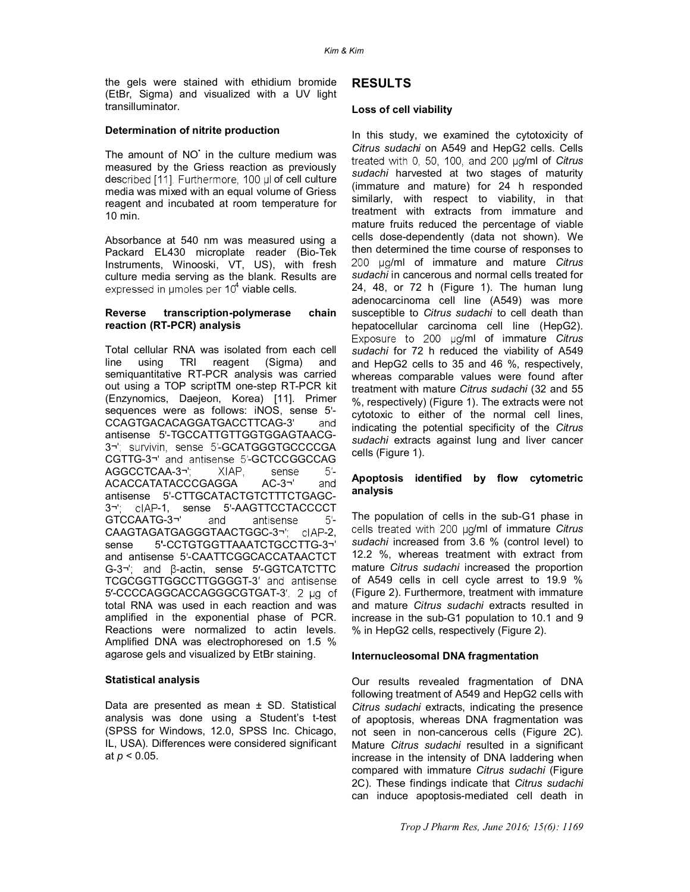the gels were stained with ethidium bromide (EtBr, Sigma) and visualized with a UV light transilluminator.

### **Determination of nitrite production**

The amount of NO' in the culture medium was measured by the Griess reaction as previously described [11]. Furthermore, 100 µl of cell culture media was mixed with an equal volume of Griess reagent and incubated at room temperature for 10 min.

Absorbance at 540 nm was measured using a Packard EL430 microplate reader (Bio-Tek Instruments, Winooski, VT, US), with fresh culture media serving as the blank. Results are <sup>4</sup> viable cells.

#### **Reverse transcription-polymerase chain reaction (RT-PCR) analysis**

Total cellular RNA was isolated from each cell line using TRI reagent (Sigma) and semiquantitative RT-PCR analysis was carried out using a TOP scriptTM one-step RT-PCR kit (Enzynomics, Daejeon, Korea) [11]. Primer sequences were as follows: iNOS, sense 5'-CCAGTGACACAGGATGACCTTCAG-3 and antisense 5'-TGCCATTGTTGGTGGAGTAACG-3¬'; survivin, sense 5'-GCATGGGTGCCCCGA CGTTG-3¬' and antisense 5'-GCTCCGGCCAG AGGCCTCAA-3¬'; XIAP, sense 5'-ACACCATATACCCGAGGA AC-3 and antisense 5'-CTTGCATACTGTCTTTCTGAGC-3¬'; clAP-1, sense 5'-AAGTTCCTACCCCT GTCCAATG-3¬' and antisense 5'-CAAGTAGATGAGGGTAACTGGC-3¬" clAP-2, sense 5'-CCTGTGGTTAAATCTGCCTTG-3¬' and antisense 5 -CAATTCGGCACCATAACTCT  $G-3\gamma$ ; and  $\beta$ -actin, sense 5'-GGTCATCTTC TCGCGGTTGGCCTTGGGGT-3' and antisense 5'-CCCCAGGCACCAGGGCGTGAT-3' 2 µg of total RNA was used in each reaction and was amplified in the exponential phase of PCR. Reactions were normalized to actin levels. Amplified DNA was electrophoresed on 1.5 % agarose gels and visualized by EtBr staining.

### **Statistical analysis**

Data are presented as mean ± SD. Statistical analysis was done using a Student's t-test (SPSS for Windows, 12.0, SPSS Inc. Chicago, IL, USA). Differences were considered significant at *p* < 0.05.

### **RESULTS**

### **Loss of cell viability**

In this study, we examined the cytotoxicity of *Citrus sudachi* on A549 and HepG2 cells. Cells treated with 0, 50, 100, and 200 µg/ml of Citrus *sudachi* harvested at two stages of maturity (immature and mature) for 24 h responded similarly, with respect to viability, in that treatment with extracts from immature and mature fruits reduced the percentage of viable cells dose-dependently (data not shown). We then determined the time course of responses to 200 µg/ml of immature and mature *Citrus sudachi* in cancerous and normal cells treated for 24, 48, or 72 h (Figure 1). The human lung adenocarcinoma cell line (A549) was more susceptible to *Citrus sudachi* to cell death than hepatocellular carcinoma cell line (HepG2). Exposure to 200 µg/ml of immature *Citrus sudachi* for 72 h reduced the viability of A549 and HepG2 cells to 35 and 46 %, respectively, whereas comparable values were found after treatment with mature *Citrus sudachi* (32 and 55 %, respectively) (Figure 1). The extracts were not cytotoxic to either of the normal cell lines, indicating the potential specificity of the *Citrus sudachi* extracts against lung and liver cancer cells (Figure 1).

### **Apoptosis identified by flow cytometric analysis**

The population of cells in the sub-G1 phase in cells treated with 200 ug/ml of immature *Citrus sudachi* increased from 3.6 % (control level) to 12.2 %, whereas treatment with extract from mature *Citrus sudachi* increased the proportion of A549 cells in cell cycle arrest to 19.9 % (Figure 2). Furthermore, treatment with immature and mature *Citrus sudachi* extracts resulted in increase in the sub-G1 population to 10.1 and 9 % in HepG2 cells, respectively (Figure 2).

### **Internucleosomal DNA fragmentation**

Our results revealed fragmentation of DNA following treatment of A549 and HepG2 cells with *Citrus sudachi* extracts, indicating the presence of apoptosis, whereas DNA fragmentation was not seen in non-cancerous cells (Figure 2C). Mature *Citrus sudachi* resulted in a significant increase in the intensity of DNA laddering when compared with immature *Citrus sudachi* (Figure 2C). These findings indicate that *Citrus sudachi* can induce apoptosis-mediated cell death in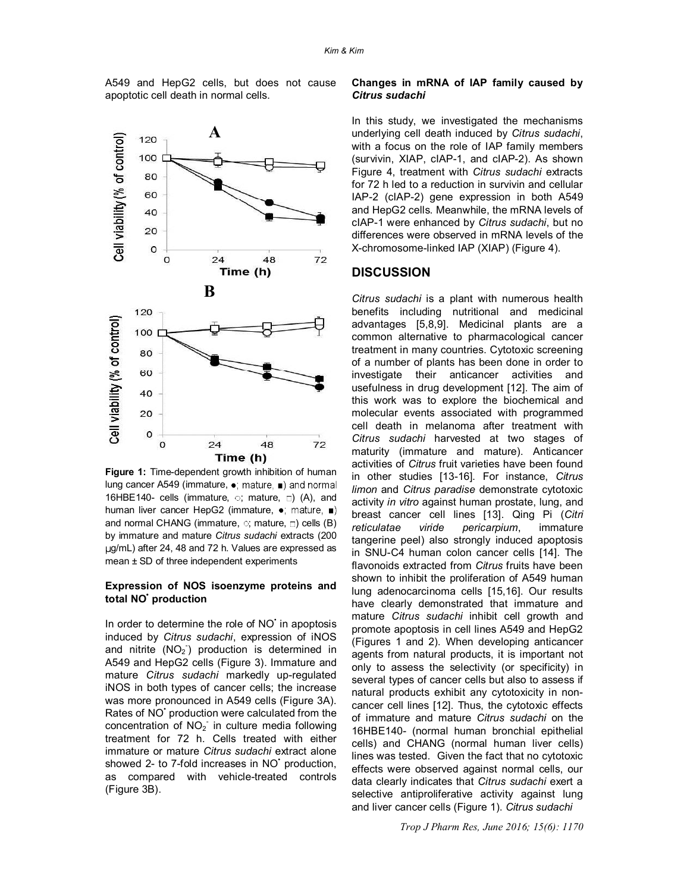A549 and HepG2 cells, but does not cause apoptotic cell death in normal cells.



**Figure 1:** Time-dependent growth inhibition of human lung cancer A549 (immature,  $\bullet$ ; mature,  $\bullet$ ) and normal 16HBE140- cells (immature,  $\circ$ ; mature,  $\Box$ ) (A), and human liver cancer HepG2 (immature, •; mature, ■) and normal CHANG (immature,  $\circ$ ; mature,  $\circ$ ) cells (B) by immature and mature *Citrus sudachi* extracts (200 g/mL) after 24, 48 and 72 h. Values are expressed as mean ± SD of three independent experiments

### **Expression of NOS isoenzyme proteins and total NO• production**

In order to determine the role of NO' in apoptosis induced by *Citrus sudachi*, expression of iNOS and nitrite  $(NO<sub>2</sub>)$  production is determined in A549 and HepG2 cells (Figure 3). Immature and mature *Citrus sudachi* markedly up-regulated iNOS in both types of cancer cells; the increase was more pronounced in A549 cells (Figure 3A). Rates of NO<sup>+</sup> production were calculated from the concentration of  $NO<sub>2</sub>$  in culture media following treatment for 72 h. Cells treated with either immature or mature *Citrus sudachi* extract alone showed 2- to 7-fold increases in NO<sup>+</sup> production, as compared with vehicle-treated controls (Figure 3B).

### **Changes in mRNA of IAP family caused by**  *Citrus sudachi*

In this study, we investigated the mechanisms underlying cell death induced by *Citrus sudachi*, with a focus on the role of IAP family members (survivin, XIAP, cIAP-1, and cIAP-2). As shown Figure 4, treatment with *Citrus sudachi* extracts for 72 h led to a reduction in survivin and cellular IAP-2 (cIAP-2) gene expression in both A549 and HepG2 cells. Meanwhile, the mRNA levels of cIAP-1 were enhanced by *Citrus sudachi*, but no differences were observed in mRNA levels of the X-chromosome-linked IAP (XIAP) (Figure 4).

### **DISCUSSION**

*Citrus sudachi* is a plant with numerous health benefits including nutritional and medicinal advantages [5,8,9]. Medicinal plants are a common alternative to pharmacological cancer treatment in many countries. Cytotoxic screening of a number of plants has been done in order to investigate their anticancer activities and usefulness in drug development [12]. The aim of this work was to explore the biochemical and molecular events associated with programmed cell death in melanoma after treatment with *Citrus sudachi* harvested at two stages of maturity (immature and mature). Anticancer activities of *Citrus* fruit varieties have been found in other studies [13-16]. For instance, *Citrus limon* and *Citrus paradise* demonstrate cytotoxic activity *in vitro* against human prostate, lung, and breast cancer cell lines [13]. Qing Pi (*Citri reticulatae viride pericarpium*, immature tangerine peel) also strongly induced apoptosis in SNU-C4 human colon cancer cells [14]. The flavonoids extracted from *Citrus* fruits have been shown to inhibit the proliferation of A549 human lung adenocarcinoma cells [15,16]. Our results have clearly demonstrated that immature and mature *Citrus sudachi* inhibit cell growth and promote apoptosis in cell lines A549 and HepG2 (Figures 1 and 2). When developing anticancer agents from natural products, it is important not only to assess the selectivity (or specificity) in several types of cancer cells but also to assess if natural products exhibit any cytotoxicity in noncancer cell lines [12]. Thus, the cytotoxic effects of immature and mature *Citrus sudachi* on the 16HBE140- (normal human bronchial epithelial cells) and CHANG (normal human liver cells) lines was tested. Given the fact that no cytotoxic effects were observed against normal cells, our data clearly indicates that *Citrus sudachi* exert a selective antiproliferative activity against lung and liver cancer cells (Figure 1). *Citrus sudachi*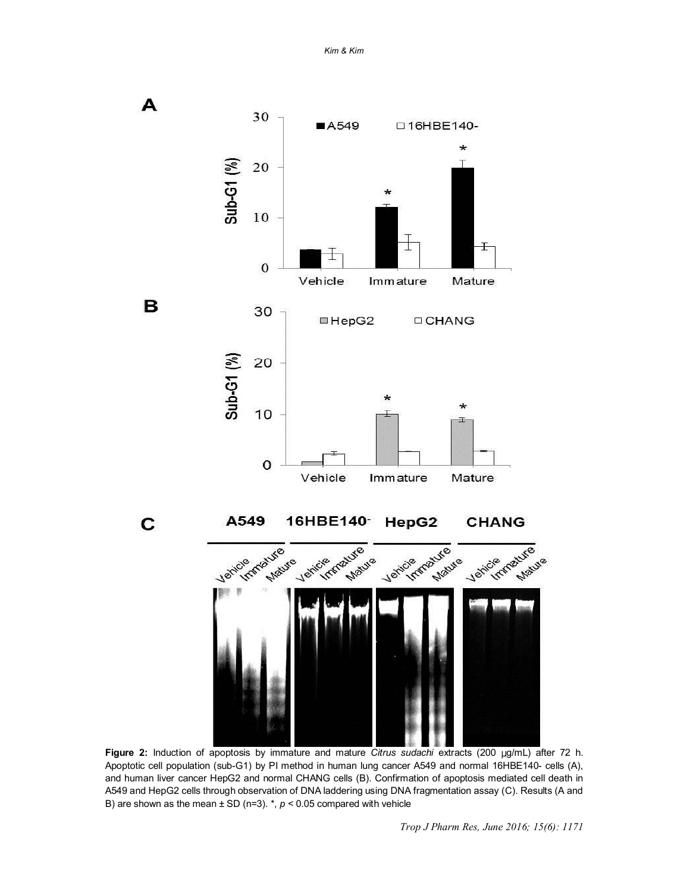*Kim & Kim*



**Figure 2:** Induction of apoptosis by immature and mature *Citrus sudachi* extracts (200 g/mL) after 72 h. Apoptotic cell population (sub-G1) by PI method in human lung cancer A549 and normal 16HBE140- cells (A), and human liver cancer HepG2 and normal CHANG cells (B). Confirmation of apoptosis mediated cell death in A549 and HepG2 cells through observation of DNA laddering using DNA fragmentation assay (C). Results (A and B) are shown as the mean  $\pm$  SD (n=3).  $\ast$ ,  $p$  < 0.05 compared with vehicle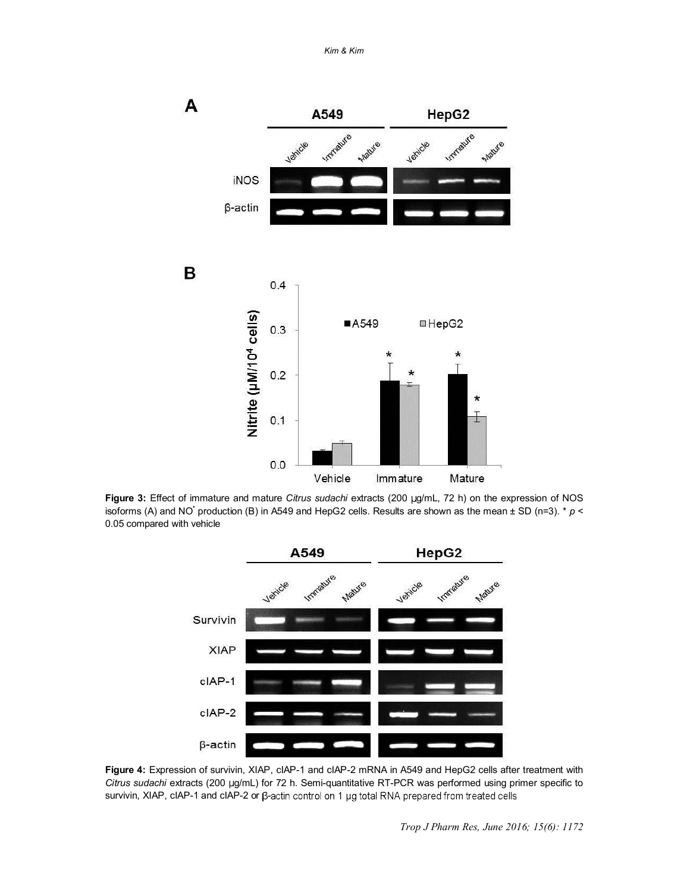*Kim & Kim*



Figure 3: Effect of immature and mature *Citrus sudachi* extracts (200 µg/mL, 72 h) on the expression of NOS isoforms (A) and NO<sup>+</sup> production (B) in A549 and HepG2 cells. Results are shown as the mean  $\pm$  SD (n=3).  $*$   $p$  < 0.05 compared with vehicle



**Figure 4:** Expression of survivin, XIAP, cIAP-1 and cIAP-2 mRNA in A549 and HepG2 cells after treatment with *Citrus sudachi* extracts (200 g/mL) for 72 h. Semi-quantitative RT-PCR was performed using primer specific to survivin, XIAP, cIAP-1 and cIAP-2 or  $\beta$ -actin control on 1 µg total RNA prepared from treated cells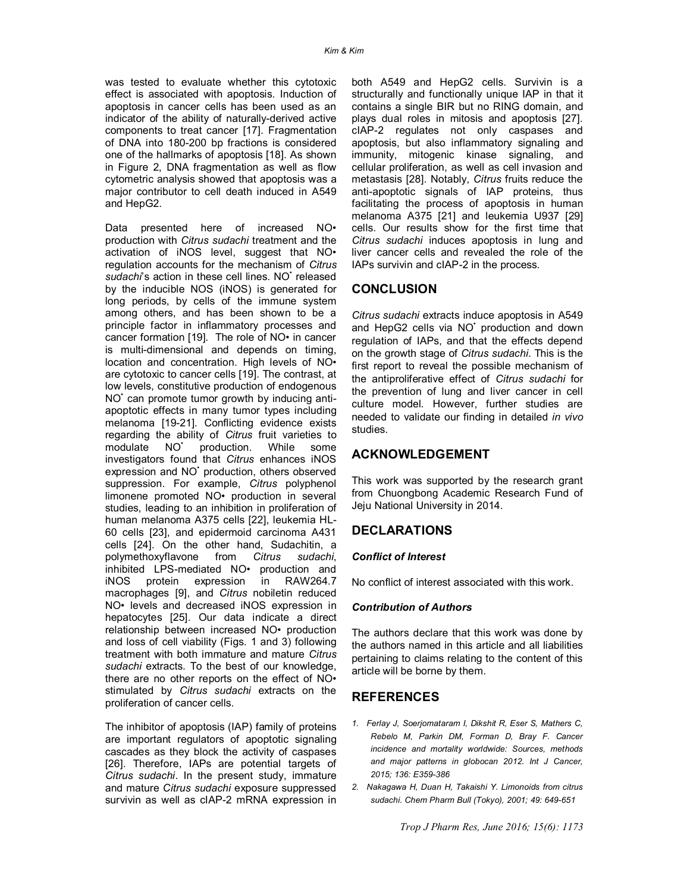was tested to evaluate whether this cytotoxic effect is associated with apoptosis. Induction of apoptosis in cancer cells has been used as an indicator of the ability of naturally-derived active components to treat cancer [17]. Fragmentation of DNA into 180-200 bp fractions is considered one of the hallmarks of apoptosis [18]. As shown in Figure 2, DNA fragmentation as well as flow cytometric analysis showed that apoptosis was a major contributor to cell death induced in A549 and HepG2.

Data presented here of increased NO• production with *Citrus sudachi* treatment and the activation of iNOS level, suggest that NO• regulation accounts for the mechanism of *Citrus*  sudachi's action in these cell lines. NO<sup>+</sup> released by the inducible NOS (iNOS) is generated for long periods, by cells of the immune system among others, and has been shown to be a principle factor in inflammatory processes and cancer formation [19]. The role of NO• in cancer is multi-dimensional and depends on timing, location and concentration. High levels of NO• are cytotoxic to cancer cells [19]. The contrast, at low levels, constitutive production of endogenous NO<sup>+</sup> can promote tumor growth by inducing antiapoptotic effects in many tumor types including melanoma [19-21]. Conflicting evidence exists regarding the ability of *Citrus* fruit varieties to modulate NO<sup>\*</sup> production. While some investigators found that *Citrus* enhances iNOS expression and NO<sup>+</sup> production, others observed suppression. For example, *Citrus* polyphenol limonene promoted NO• production in several studies, leading to an inhibition in proliferation of human melanoma A375 cells [22], leukemia HL-60 cells [23], and epidermoid carcinoma A431 cells [24]. On the other hand, Sudachitin, a polymethoxyflavone from *Citrus sudachi*, inhibited LPS-mediated NO• production and iNOS protein expression in RAW264.7 macrophages [9], and *Citrus* nobiletin reduced NO• levels and decreased iNOS expression in hepatocytes [25]. Our data indicate a direct relationship between increased NO• production and loss of cell viability (Figs. 1 and 3) following treatment with both immature and mature *Citrus sudachi* extracts. To the best of our knowledge, there are no other reports on the effect of NO• stimulated by *Citrus sudachi* extracts on the proliferation of cancer cells.

The inhibitor of apoptosis (IAP) family of proteins are important regulators of apoptotic signaling cascades as they block the activity of caspases [26]. Therefore, IAPs are potential targets of *Citrus sudachi*. In the present study, immature and mature *Citrus sudachi* exposure suppressed survivin as well as cIAP-2 mRNA expression in both A549 and HepG2 cells. Survivin is a structurally and functionally unique IAP in that it contains a single BIR but no RING domain, and plays dual roles in mitosis and apoptosis [27]. cIAP-2 regulates not only caspases and apoptosis, but also inflammatory signaling and immunity, mitogenic kinase signaling, and cellular proliferation, as well as cell invasion and metastasis [28]. Notably, *Citrus* fruits reduce the anti-apoptotic signals of IAP proteins, thus facilitating the process of apoptosis in human melanoma A375 [21] and leukemia U937 [29] cells. Our results show for the first time that *Citrus sudachi* induces apoptosis in lung and liver cancer cells and revealed the role of the IAPs survivin and cIAP-2 in the process.

### **CONCLUSION**

*Citrus sudachi* extracts induce apoptosis in A549 and HepG2 cells via NO<sup>+</sup> production and down regulation of IAPs, and that the effects depend on the growth stage of *Citrus sudachi*. This is the first report to reveal the possible mechanism of the antiproliferative effect of *Citrus sudachi* for the prevention of lung and liver cancer in cell culture model. However, further studies are needed to validate our finding in detailed *in vivo* studies.

### **ACKNOWLEDGEMENT**

This work was supported by the research grant from Chuongbong Academic Research Fund of Jeju National University in 2014.

### **DECLARATIONS**

### *Conflict of Interest*

No conflict of interest associated with this work.

### *Contribution of Authors*

The authors declare that this work was done by the authors named in this article and all liabilities pertaining to claims relating to the content of this article will be borne by them.

### **REFERENCES**

- *1. Ferlay J, Soerjomataram I, Dikshit R, Eser S, Mathers C, Rebelo M, Parkin DM, Forman D, Bray F. Cancer incidence and mortality worldwide: Sources, methods and major patterns in globocan 2012. Int J Cancer, 2015; 136: E359-386*
- *2. Nakagawa H, Duan H, Takaishi Y. Limonoids from citrus sudachi. Chem Pharm Bull (Tokyo), 2001; 49: 649-651*